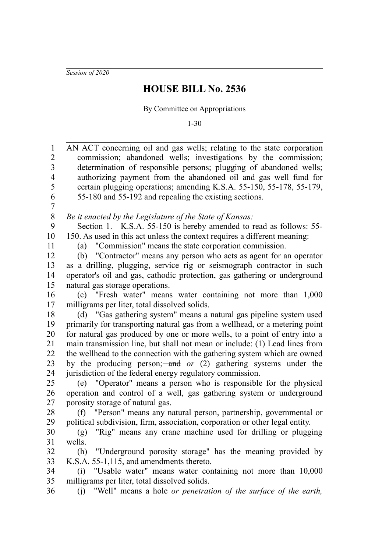*Session of 2020*

## **HOUSE BILL No. 2536**

By Committee on Appropriations

1-30

AN ACT concerning oil and gas wells; relating to the state corporation commission; abandoned wells; investigations by the commission; determination of responsible persons; plugging of abandoned wells; authorizing payment from the abandoned oil and gas well fund for certain plugging operations; amending K.S.A. 55-150, 55-178, 55-179, 55-180 and 55-192 and repealing the existing sections. *Be it enacted by the Legislature of the State of Kansas:* Section 1. K.S.A. 55-150 is hereby amended to read as follows: 55-150. As used in this act unless the context requires a different meaning: (a) "Commission" means the state corporation commission. (b) "Contractor" means any person who acts as agent for an operator as a drilling, plugging, service rig or seismograph contractor in such operator's oil and gas, cathodic protection, gas gathering or underground natural gas storage operations. (c) "Fresh water" means water containing not more than 1,000 milligrams per liter, total dissolved solids. (d) "Gas gathering system" means a natural gas pipeline system used primarily for transporting natural gas from a wellhead, or a metering point for natural gas produced by one or more wells, to a point of entry into a main transmission line, but shall not mean or include: (1) Lead lines from the wellhead to the connection with the gathering system which are owned by the producing person; and *or* (2) gathering systems under the jurisdiction of the federal energy regulatory commission. (e) "Operator" means a person who is responsible for the physical operation and control of a well, gas gathering system or underground porosity storage of natural gas. (f) "Person" means any natural person, partnership, governmental or political subdivision, firm, association, corporation or other legal entity. (g) "Rig" means any crane machine used for drilling or plugging wells. (h) "Underground porosity storage" has the meaning provided by K.S.A. 55-1,115, and amendments thereto. (i) "Usable water" means water containing not more than 10,000 milligrams per liter, total dissolved solids. (j) "Well" means a hole *or penetration of the surface of the earth,* 1 2 3 4 5 6 7 8 9 10 11 12 13 14 15 16 17 18 19 20 21 22 23 24 25 26 27 28 29 30 31 32 33 34 35 36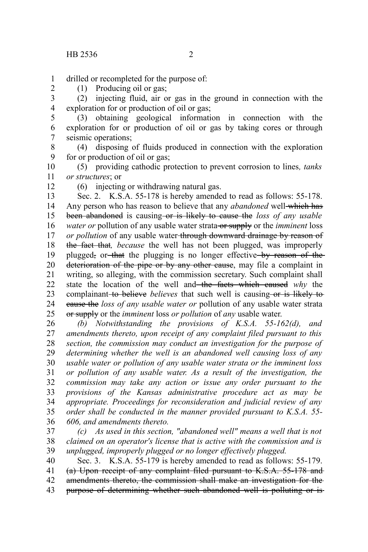drilled or recompleted for the purpose of: 1

(1) Producing oil or gas;

(2) injecting fluid, air or gas in the ground in connection with the exploration for or production of oil or gas; 3 4

(3) obtaining geological information in connection with the exploration for or production of oil or gas by taking cores or through seismic operations; 5 6 7

(4) disposing of fluids produced in connection with the exploration for or production of oil or gas; 8 9

(5) providing cathodic protection to prevent corrosion to lines*, tanks or structures*; or 10 11

12

2

(6) injecting or withdrawing natural gas.

Sec. 2. K.S.A. 55-178 is hereby amended to read as follows: 55-178. Any person who has reason to believe that any *abandoned* well-which has been abandoned is causing or is likely to cause the *loss of any usable water or* pollution of any usable water strata or supply or the *imminent* loss *or pollution* of any usable water through downward drainage by reason of the fact that*, because* the well has not been plugged, was improperly plugged, or that the plugging is no longer effective by reason of the deterioration of the pipe or by any other cause, may file a complaint in writing, so alleging, with the commission secretary. Such complaint shall state the location of the well and the facts which caused *why* the complainant to believe *believes* that such well is causing or is likely to cause the *loss of any usable water or* pollution of any usable water strata or supply or the *imminent* loss *or pollution* of *any* usable water. 13 14 15 16 17 18 19 20 21 22 23 24 25

*(b) Notwithstanding the provisions of K.S.A. 55-162(d), and amendments thereto, upon receipt of any complaint filed pursuant to this section, the commission may conduct an investigation for the purpose of determining whether the well is an abandoned well causing loss of any usable water or pollution of any usable water strata or the imminent loss or pollution of any usable water. As a result of the investigation, the commission may take any action or issue any order pursuant to the provisions of the Kansas administrative procedure act as may be appropriate. Proceedings for reconsideration and judicial review of any order shall be conducted in the manner provided pursuant to K.S.A. 55- 606, and amendments thereto.* 26 27 28 29 30 31 32 33 34 35 36

*(c) As used in this section, "abandoned well" means a well that is not claimed on an operator's license that is active with the commission and is unplugged, improperly plugged or no longer effectively plugged.* 37 38 39

Sec. 3. K.S.A. 55-179 is hereby amended to read as follows: 55-179. (a) Upon receipt of any complaint filed pursuant to K.S.A. 55-178 and amendments thereto, the commission shall make an investigation for the purpose of determining whether such abandoned well is polluting or is 40 41 42 43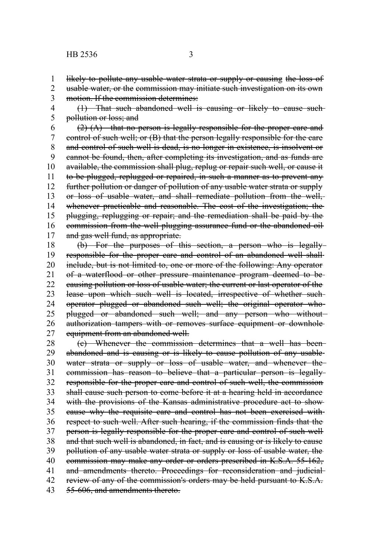likely to pollute any usable water strata or supply or causing the loss of 1

usable water, or the commission may initiate such investigation on its own motion. If the commission determines: 2 3

(1) That such abandoned well is causing or likely to cause such pollution or loss; and 4 5

(2) (A) that no person is legally responsible for the proper care and control of such well; or (B) that the person legally responsible for the care and control of such well is dead, is no longer in existence, is insolvent or cannot be found, then, after completing its investigation, and as funds are available, the commission shall plug, replug or repair such well, or cause it to be plugged, replugged or repaired, in such a manner as to prevent any further pollution or danger of pollution of any usable water strata or supply or loss of usable water, and shall remediate pollution from the well, whenever practicable and reasonable. The cost of the investigation; the plugging, replugging or repair; and the remediation shall be paid by the commission from the well plugging assurance fund or the abandoned oil and gas well fund, as appropriate. 6 7 8 9 10 11 12 13 14 15 16 17

(b) For the purposes of this section, a person who is legally responsible for the proper care and control of an abandoned well shallinclude, but is not limited to, one or more of the following: Any operator of a waterflood or other pressure maintenance program deemed to be causing pollution or loss of usable water; the current or last operator of the lease upon which such well is located, irrespective of whether such operator plugged or abandoned such well; the original operator who plugged or abandoned such well; and any person who without authorization tampers with or removes surface equipment or downhole equipment from an abandoned well. 18 19 20 21 22 23 24 25 26 27

(c) Whenever the commission determines that a well has been abandoned and is causing or is likely to cause pollution of any usable water strata or supply or loss of usable water, and whenever the commission has reason to believe that a particular person is legally responsible for the proper care and control of such well, the commission shall cause such person to come before it at a hearing held in accordance with the provisions of the Kansas administrative procedure act to show cause why the requisite care and control has not been exercised with respect to such well. After such hearing, if the commission finds that the person is legally responsible for the proper care and control of such well and that such well is abandoned, in fact, and is causing or is likely to cause pollution of any usable water strata or supply or loss of usable water, the commission may make any order or orders prescribed in K.S.A. 55-162, and amendments thereto. Proceedings for reconsideration and judicial review of any of the commission's orders may be held pursuant to K.S.A. 55-606, and amendments thereto. 28 29 30 31 32 33 34 35 36 37 38 39 40 41 42 43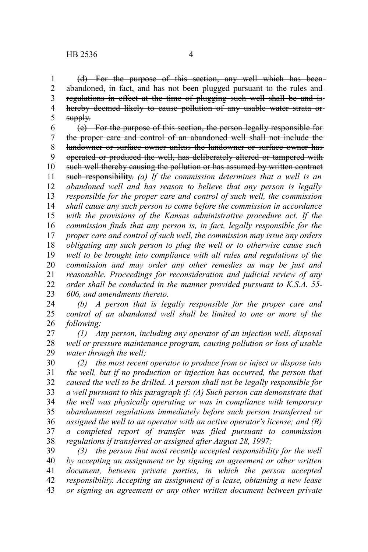(d) For the purpose of this section, any well which has been abandoned, in fact, and has not been plugged pursuant to the rules and regulations in effect at the time of plugging such well shall be and is hereby deemed likely to cause pollution of any usable water strata orsupply. 1 2 3 4 5

(e) For the purpose of this section, the person legally responsible for the proper care and control of an abandoned well shall not include the landowner or surface owner unless the landowner or surface owner has operated or produced the well, has deliberately altered or tampered with such well thereby causing the pollution or has assumed by written contract such responsibility. *(a) If the commission determines that a well is an abandoned well and has reason to believe that any person is legally responsible for the proper care and control of such well, the commission shall cause any such person to come before the commission in accordance with the provisions of the Kansas administrative procedure act. If the commission finds that any person is, in fact, legally responsible for the proper care and control of such well, the commission may issue any orders obligating any such person to plug the well or to otherwise cause such well to be brought into compliance with all rules and regulations of the commission and may order any other remedies as may be just and reasonable. Proceedings for reconsideration and judicial review of any order shall be conducted in the manner provided pursuant to K.S.A. 55- 606, and amendments thereto.* 6 7 8 9 10 11 12 13 14 15 16 17 18 19 20 21 22 23

*(b) A person that is legally responsible for the proper care and control of an abandoned well shall be limited to one or more of the following:* 24 25 26

*(1) Any person, including any operator of an injection well, disposal well or pressure maintenance program, causing pollution or loss of usable water through the well;* 27 28 29

*(2) the most recent operator to produce from or inject or dispose into the well, but if no production or injection has occurred, the person that caused the well to be drilled. A person shall not be legally responsible for a well pursuant to this paragraph if: (A) Such person can demonstrate that the well was physically operating or was in compliance with temporary abandonment regulations immediately before such person transferred or assigned the well to an operator with an active operator's license; and (B) a completed report of transfer was filed pursuant to commission regulations if transferred or assigned after August 28, 1997;* 30 31 32 33 34 35 36 37 38

*(3) the person that most recently accepted responsibility for the well by accepting an assignment or by signing an agreement or other written document, between private parties, in which the person accepted responsibility. Accepting an assignment of a lease, obtaining a new lease or signing an agreement or any other written document between private* 39 40 41 42 43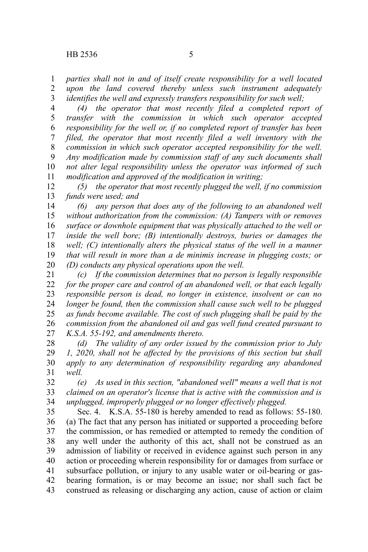*parties shall not in and of itself create responsibility for a well located upon the land covered thereby unless such instrument adequately identifies the well and expressly transfers responsibility for such well;* 1 2 3

*(4) the operator that most recently filed a completed report of transfer with the commission in which such operator accepted responsibility for the well or, if no completed report of transfer has been filed, the operator that most recently filed a well inventory with the commission in which such operator accepted responsibility for the well. Any modification made by commission staff of any such documents shall not alter legal responsibility unless the operator was informed of such modification and approved of the modification in writing;* 4 5 6 7 8 9 10 11

*(5) the operator that most recently plugged the well, if no commission funds were used; and* 12 13

*(6) any person that does any of the following to an abandoned well without authorization from the commission: (A) Tampers with or removes surface or downhole equipment that was physically attached to the well or inside the well bore; (B) intentionally destroys, buries or damages the well; (C) intentionally alters the physical status of the well in a manner that will result in more than a de minimis increase in plugging costs; or (D) conducts any physical operations upon the well.* 14 15 16 17 18 19 20

*(c) If the commission determines that no person is legally responsible for the proper care and control of an abandoned well, or that each legally responsible person is dead, no longer in existence, insolvent or can no longer be found, then the commission shall cause such well to be plugged as funds become available. The cost of such plugging shall be paid by the commission from the abandoned oil and gas well fund created pursuant to K.S.A. 55-192, and amendments thereto.* 21 22 23 24 25 26 27

*(d) The validity of any order issued by the commission prior to July 1, 2020, shall not be affected by the provisions of this section but shall apply to any determination of responsibility regarding any abandoned well.* 28 29 30 31

*(e) As used in this section, "abandoned well" means a well that is not claimed on an operator's license that is active with the commission and is unplugged, improperly plugged or no longer effectively plugged.* 32 33 34

Sec. 4. K.S.A. 55-180 is hereby amended to read as follows: 55-180. (a) The fact that any person has initiated or supported a proceeding before the commission, or has remedied or attempted to remedy the condition of any well under the authority of this act, shall not be construed as an admission of liability or received in evidence against such person in any action or proceeding wherein responsibility for or damages from surface or subsurface pollution, or injury to any usable water or oil-bearing or gasbearing formation, is or may become an issue; nor shall such fact be construed as releasing or discharging any action, cause of action or claim 35 36 37 38 39 40 41 42 43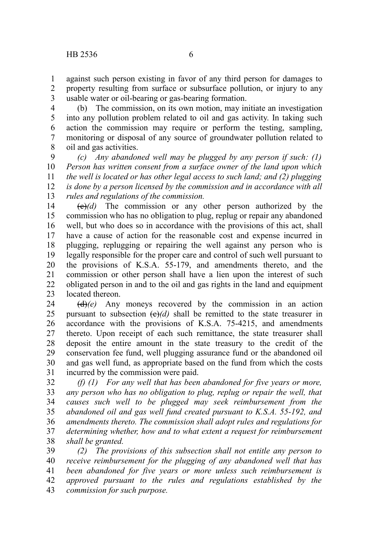against such person existing in favor of any third person for damages to property resulting from surface or subsurface pollution, or injury to any usable water or oil-bearing or gas-bearing formation. 1 2 3

(b) The commission, on its own motion, may initiate an investigation into any pollution problem related to oil and gas activity. In taking such action the commission may require or perform the testing, sampling, monitoring or disposal of any source of groundwater pollution related to oil and gas activities. 4 5 6 7 8

*(c) Any abandoned well may be plugged by any person if such: (1) Person has written consent from a surface owner of the land upon which the well is located or has other legal access to such land; and (2) plugging is done by a person licensed by the commission and in accordance with all rules and regulations of the commission.* 9 10 11 12 13

 $(e)(d)$  The commission or any other person authorized by the commission who has no obligation to plug, replug or repair any abandoned well, but who does so in accordance with the provisions of this act, shall have a cause of action for the reasonable cost and expense incurred in plugging, replugging or repairing the well against any person who is legally responsible for the proper care and control of such well pursuant to the provisions of K.S.A. 55-179, and amendments thereto, and the commission or other person shall have a lien upon the interest of such obligated person in and to the oil and gas rights in the land and equipment located thereon. 14 15 16 17 18 19 20 21 22 23

(d)*(e)* Any moneys recovered by the commission in an action pursuant to subsection  $\left(\frac{e}{d}\right)$  shall be remitted to the state treasurer in accordance with the provisions of K.S.A. 75-4215, and amendments thereto. Upon receipt of each such remittance, the state treasurer shall deposit the entire amount in the state treasury to the credit of the conservation fee fund, well plugging assurance fund or the abandoned oil and gas well fund, as appropriate based on the fund from which the costs incurred by the commission were paid. 24 25 26 27 28 29 30 31

*(f) (1) For any well that has been abandoned for five years or more, any person who has no obligation to plug, replug or repair the well, that causes such well to be plugged may seek reimbursement from the abandoned oil and gas well fund created pursuant to K.S.A. 55-192, and amendments thereto. The commission shall adopt rules and regulations for determining whether, how and to what extent a request for reimbursement shall be granted.* 32 33 34 35 36 37 38

*(2) The provisions of this subsection shall not entitle any person to receive reimbursement for the plugging of any abandoned well that has been abandoned for five years or more unless such reimbursement is approved pursuant to the rules and regulations established by the commission for such purpose.* 39 40 41 42 43